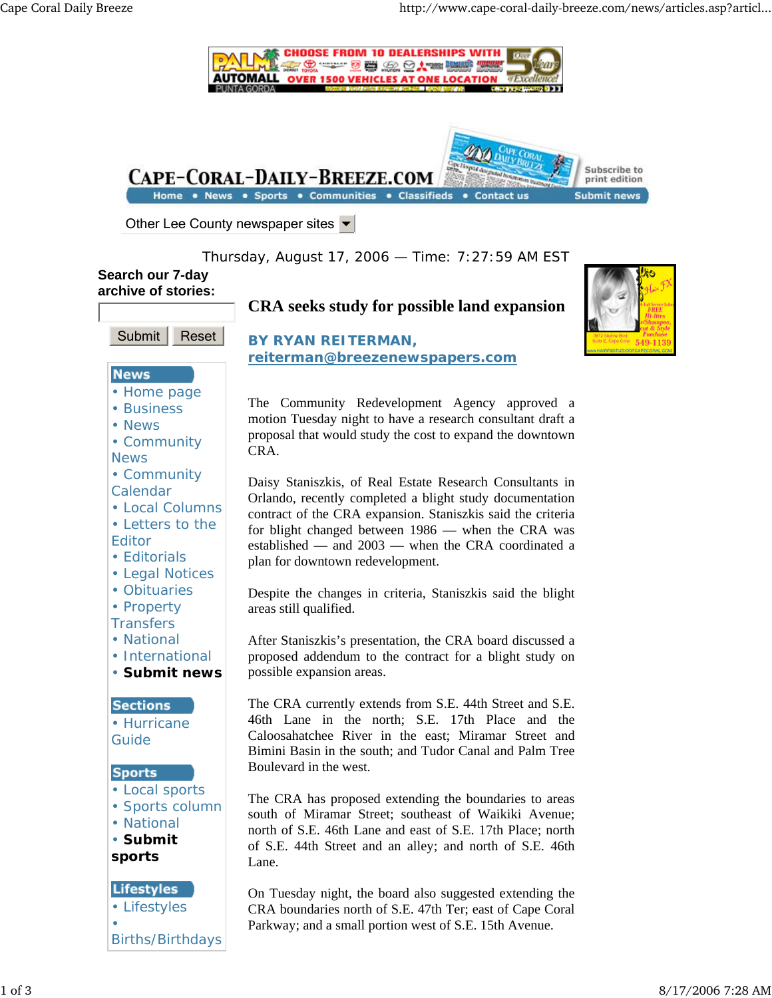